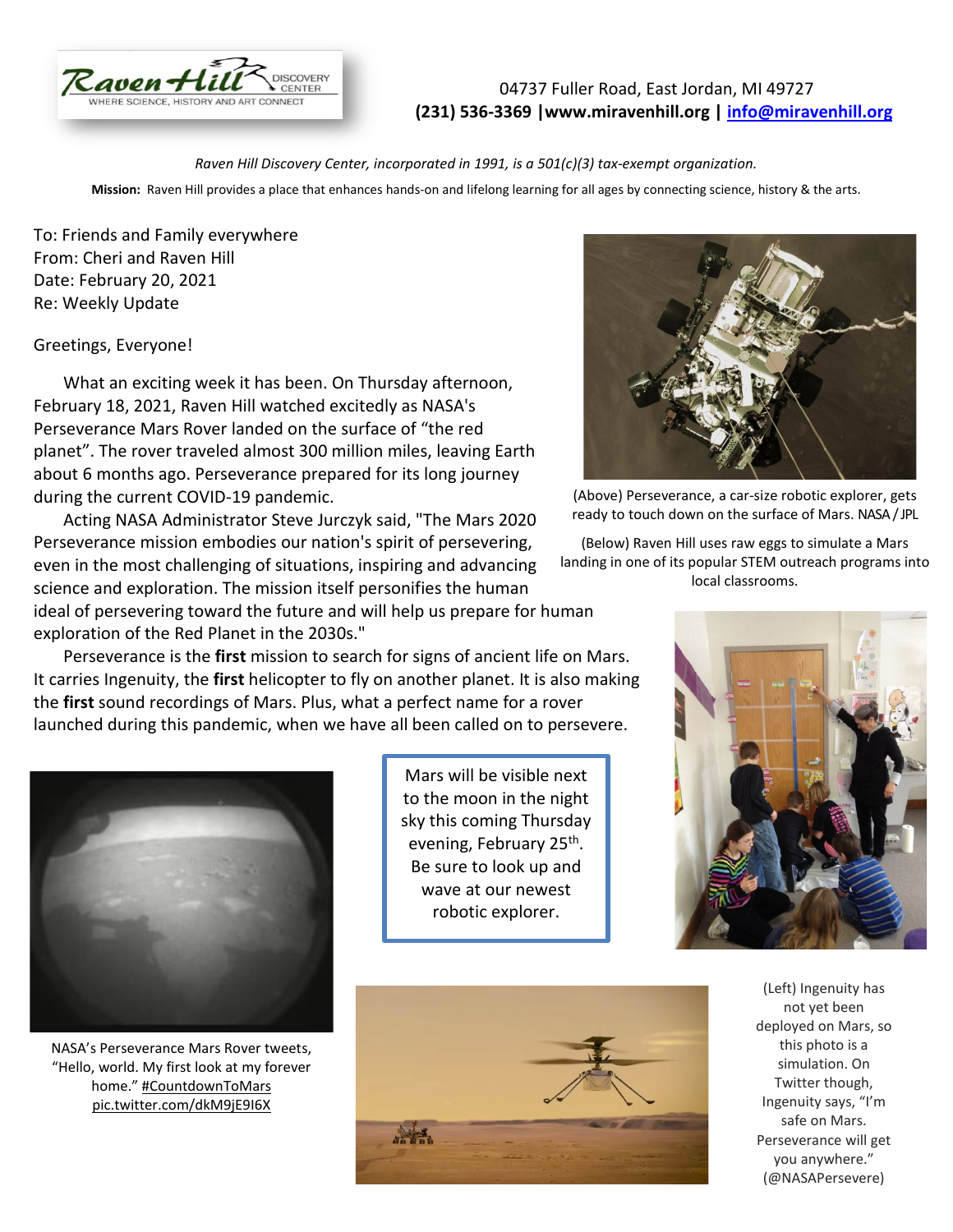

04737 Fuller Road, East Jordan, MI 49727 **(231) 536-3369 |www.miravenhill.org | [info@miravenhill.org](mailto:info@miravenhill.org)**

*Raven Hill Discovery Center, incorporated in 1991, is a 501(c)(3) tax-exempt organization.*

**Mission:** Raven Hill provides a place that enhances hands-on and lifelong learning for all ages by connecting science, history & the arts.

To: Friends and Family everywhere From: Cheri and Raven Hill Date: February 20, 2021 Re: Weekly Update

#### Greetings, Everyone!

 What an exciting week it has been. On Thursday afternoon, February 18, 2021, Raven Hill watched excitedly as NASA's Perseverance Mars Rover landed on the surface of "the red planet". The rover traveled almost 300 million miles, leaving Earth about 6 months ago. Perseverance prepared for its long journey during the current COVID-19 pandemic.

 Acting NASA Administrator Steve Jurczyk said, "The Mars 2020 Perseverance mission embodies our nation's spirit of persevering, even in the most challenging of situations, inspiring and advancing science and exploration. The mission itself personifies the human ideal of persevering toward the future and will help us prepare for human exploration of the Red Planet in the 2030s."

 Perseverance is the **first** mission to search for signs of ancient life on Mars. It carries Ingenuity, the **first** helicopter to fly on another planet. It is also making the **first** sound recordings of Mars. Plus, what a perfect name for a rover launched during this pandemic, when we have all been called on to persevere.



(Above) Perseverance, a car-size robotic explorer, gets ready to touch down on the surface of Mars. NASA / JPL

(Below) Raven Hill uses raw eggs to simulate a Mars landing in one of its popular STEM outreach programs into local classrooms.



NASA's Perseverance Mars Rover tweets, "Hello, world. My first look at my forever home." [#CountdownToMars](https://twitter.com/hashtag/CountdownToMars?src=hash&ref_src=twsrc%5Etfw) [pic.twitter.com/dkM9jE9I6X](https://t.co/dkM9jE9I6X)

Mars will be visible next to the moon in the night sky this coming Thursday evening, February 25<sup>th</sup>. Be sure to look up and wave at our newest robotic explorer.





(Left) Ingenuity has not yet been deployed on Mars, so this photo is a simulation. On Twitter though, Ingenuity says, "I'm safe on Mars. Perseverance will get you anywhere." (@NASAPersevere)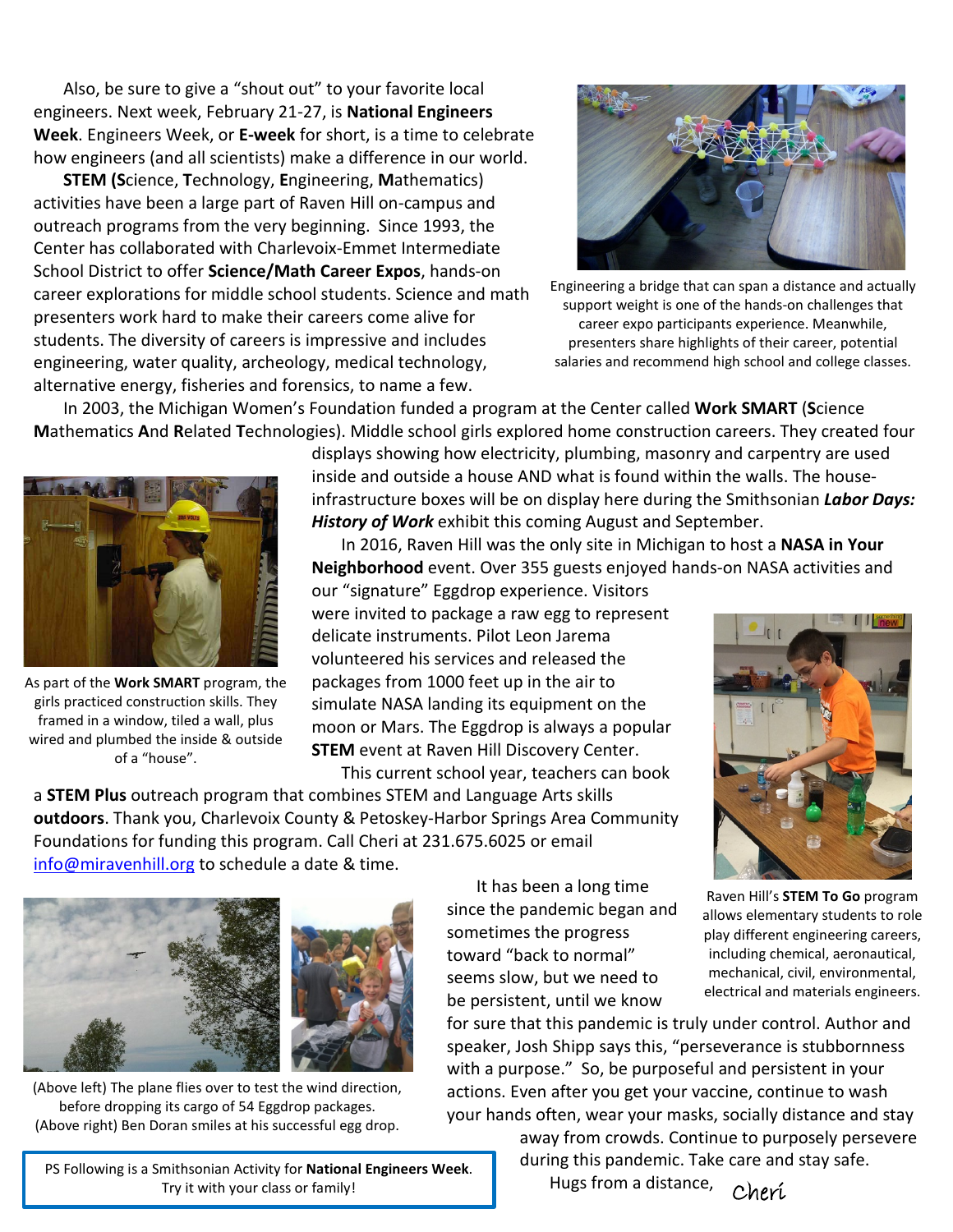Also, be sure to give a "shout out" to your favorite local engineers. Next week, February 21-27, is **National Engineers Week**. Engineers Week, or **E-week** for short, is a time to celebrate how engineers (and all scientists) make a difference in our world.

 **STEM (S**cience, **T**echnology, **E**ngineering, **M**athematics) activities have been a large part of Raven Hill on-campus and outreach programs from the very beginning. Since 1993, the Center has collaborated with Charlevoix-Emmet Intermediate School District to offer **Science/Math Career Expos**, hands-on career explorations for middle school students. Science and math presenters work hard to make their careers come alive for students. The diversity of careers is impressive and includes engineering, water quality, archeology, medical technology, alternative energy, fisheries and forensics, to name a few.



Engineering a bridge that can span a distance and actually support weight is one of the hands-on challenges that career expo participants experience. Meanwhile, presenters share highlights of their career, potential salaries and recommend high school and college classes.

 In 2003, the Michigan Women's Foundation funded a program at the Center called **Work SMART** (**S**cience **M**athematics **A**nd **R**elated **T**echnologies). Middle school girls explored home construction careers. They created four



As part of the **Work SMART** program, the girls practiced construction skills. They framed in a window, tiled a wall, plus wired and plumbed the inside & outside of a "house".

displays showing how electricity, plumbing, masonry and carpentry are used inside and outside a house AND what is found within the walls. The houseinfrastructure boxes will be on display here during the Smithsonian *Labor Days: History of Work* exhibit this coming August and September.

 In 2016, Raven Hill was the only site in Michigan to host a **NASA in Your Neighborhood** event. Over 355 guests enjoyed hands-on NASA activities and

our "signature" Eggdrop experience. Visitors were invited to package a raw egg to represent delicate instruments. Pilot Leon Jarema volunteered his services and released the packages from 1000 feet up in the air to simulate NASA landing its equipment on the moon or Mars. The Eggdrop is always a popular **STEM** event at Raven Hill Discovery Center. This current school year, teachers can book

a **STEM Plus** outreach program that combines STEM and Language Arts skills **outdoors**. Thank you, Charlevoix County & Petoskey-Harbor Springs Area Community Foundations for funding this program. Call Cheri at 231.675.6025 or email [info@miravenhill.org](mailto:info@miravenhill.org) to schedule a date & time.



(Above left) The plane flies over to test the wind direction, before dropping its cargo of 54 Eggdrop packages. (Above right) Ben Doran smiles at his successful egg drop.

PS Following is a Smithsonian Activity for **National Engineers Week**. Try it with your class or family!<br> **Cheri** 

 It has been a long time since the pandemic began and sometimes the progress toward "back to normal" seems slow, but we need to be persistent, until we know



Raven Hill's **STEM To Go** program allows elementary students to role play different engineering careers, including chemical, aeronautical, mechanical, civil, environmental, electrical and materials engineers.

for sure that this pandemic is truly under control. Author and speaker, Josh Shipp says this, "perseverance is stubbornness with a purpose." So, be purposeful and persistent in your actions. Even after you get your vaccine, continue to wash your hands often, wear your masks, socially distance and stay

> away from crowds. Continue to purposely persevere during this pandemic. Take care and stay safe.

Hugs from a distance,